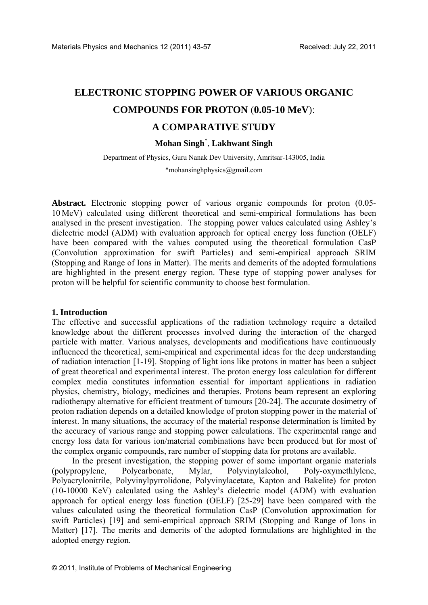# **ELECTRONIC STOPPING POWER OF VARIOUS ORGANIC COMPOUNDS FOR PROTON** (**0.05-10 MeV**): **A COMPARATIVE STUDY**

## **Mohan Singh**\* , **Lakhwant Singh**

Department of Physics, Guru Nanak Dev University, Amritsar-143005, India

\*mohansinghphysics@gmail.com

**Abstract.** Electronic stopping power of various organic compounds for proton (0.05- 10 MeV) calculated using different theoretical and semi-empirical formulations has been analysed in the present investigation. The stopping power values calculated using Ashley's dielectric model (ADM) with evaluation approach for optical energy loss function (OELF) have been compared with the values computed using the theoretical formulation CasP (Convolution approximation for swift Particles) and semi-empirical approach SRIM (Stopping and Range of Ions in Matter). The merits and demerits of the adopted formulations are highlighted in the present energy region. These type of stopping power analyses for proton will be helpful for scientific community to choose best formulation.

## **1. Introduction**

The effective and successful applications of the radiation technology require a detailed knowledge about the different processes involved during the interaction of the charged particle with matter. Various analyses, developments and modifications have continuously influenced the theoretical, semi-empirical and experimental ideas for the deep understanding of radiation interaction [1-19]. Stopping of light ions like protons in matter has been a subject of great theoretical and experimental interest. The proton energy loss calculation for different complex media constitutes information essential for important applications in radiation physics, chemistry, biology, medicines and therapies. Protons beam represent an exploring radiotherapy alternative for efficient treatment of tumours [20-24]. The accurate dosimetry of proton radiation depends on a detailed knowledge of proton stopping power in the material of interest. In many situations, the accuracy of the material response determination is limited by the accuracy of various range and stopping power calculations. The experimental range and energy loss data for various ion/material combinations have been produced but for most of the complex organic compounds, rare number of stopping data for protons are available.

In the present investigation, the stopping power of some important organic materials (polypropylene, Polycarbonate, Mylar, Polyvinylalcohol, Poly-oxymethlylene, Polyacrylonitrile, Polyvinylpyrrolidone, Polyvinylacetate, Kapton and Bakelite) for proton (10-10000 KeV) calculated using the Ashley's dielectric model (ADM) with evaluation approach for optical energy loss function (OELF) [25-29] have been compared with the values calculated using the theoretical formulation CasP (Convolution approximation for swift Particles) [19] and semi-empirical approach SRIM (Stopping and Range of Ions in Matter) [17]. The merits and demerits of the adopted formulations are highlighted in the adopted energy region.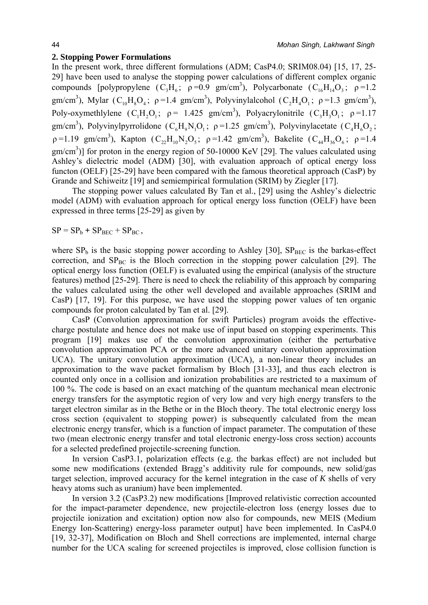## **2. Stopping Power Formulations**

In the present work, three different formulations (ADM; CasP4.0; SRIM08.04) [15, 17, 25-29] have been used to analyse the stopping power calculations of different complex organic compounds [polypropylene  $(C_3H_6; \rho=0.9 \text{ gm/cm}^3)$ , Polycarbonate  $(C_{16}H_{14}O_3; \rho=1.2$ gm/cm<sup>3</sup>), Mylar (C<sub>10</sub>H<sub>8</sub>O<sub>4</sub>;  $\rho$ =1.4 gm/cm<sup>3</sup>), Polyvinylalcohol (C<sub>2</sub>H<sub>4</sub>O<sub>1</sub>;  $\rho$ =1.3 gm/cm<sup>3</sup>), Poly-oxymethlylene  $(C_1H_2O_1; \rho = 1.425 \text{ gm/cm}^3)$ , Polyacrylonitrile  $(C_3H_3O_1; \rho = 1.17$ gm/cm<sup>3</sup>), Polyvinylpyrrolidone (C<sub>6</sub>H<sub>9</sub>N<sub>1</sub>O<sub>1</sub>;  $\rho$ =1.25 gm/cm<sup>3</sup>), Polyvinylacetate (C<sub>4</sub>H<sub>6</sub>O<sub>2</sub>;  $\rho = 1.19 \text{ gm/cm}^3$ ), Kapton  $(C_{22}H_{10}N_2O_5; \rho = 1.42 \text{ gm/cm}^3)$ , Bakelite  $(C_{44}H_{36}O_6; \rho = 1.4$  $\text{gm/cm}^3$ )] for proton in the energy region of 50-10000 KeV [29]. The values calculated using Ashley's dielectric model (ADM) [30], with evaluation approach of optical energy loss functon (OELF) [25-29] have been compared with the famous theoretical approach (CasP) by Grande and Schiweitz [19] and semiempirical formulation (SRIM) by Ziegler [17].

The stopping power values calculated By Tan et al., [29] using the Ashley's dielectric model (ADM) with evaluation approach for optical energy loss function (OELF) have been expressed in three terms [25-29] as given by

 $SP = SP_b + SP_{BEC} + SP_{BC}$ 

where  $SP_b$  is the basic stopping power according to Ashley [30],  $SP_{BEC}$  is the barkas-effect correction, and  $SP<sub>BC</sub>$  is the Bloch correction in the stopping power calculation [29]. The optical energy loss function (OELF) is evaluated using the empirical (analysis of the structure features) method [25-29]. There is need to check the reliability of this approach by comparing the values calculated using the other well developed and available approaches (SRIM and CasP) [17, 19]. For this purpose, we have used the stopping power values of ten organic compounds for proton calculated by Tan et al. [29].

CasP (Convolution approximation for swift Particles) program avoids the effectivecharge postulate and hence does not make use of input based on stopping experiments. This program [19] makes use of the convolution approximation (either the perturbative convolution approximation PCA or the more advanced unitary convolution approximation UCA). The unitary convolution approximation (UCA), a non-linear theory includes an approximation to the wave packet formalism by Bloch [31-33], and thus each electron is counted only once in a collision and ionization probabilities are restricted to a maximum of 100 %. The code is based on an exact matching of the quantum mechanical mean electronic energy transfers for the asymptotic region of very low and very high energy transfers to the target electron similar as in the Bethe or in the Bloch theory. The total electronic energy loss cross section (equivalent to stopping power) is subsequently calculated from the mean electronic energy transfer, which is a function of impact parameter. The computation of these two (mean electronic energy transfer and total electronic energy-loss cross section) accounts for a selected predefined projectile-screening function.

In version CasP3.1, polarization effects (e.g. the barkas effect) are not included but some new modifications (extended Bragg's additivity rule for compounds, new solid/gas target selection, improved accuracy for the kernel integration in the case of *K* shells of very heavy atoms such as uranium) have been implemented.

In version 3.2 (CasP3.2) new modifications [Improved relativistic correction accounted for the impact-parameter dependence, new projectile-electron loss (energy losses due to projectile ionization and excitation) option now also for compounds, new MEIS (Medium Energy Ion-Scattering) energy-loss parameter output] have been implemented. In CasP4.0 [19, 32-37], Modification on Bloch and Shell corrections are implemented, internal charge number for the UCA scaling for screened projectiles is improved, close collision function is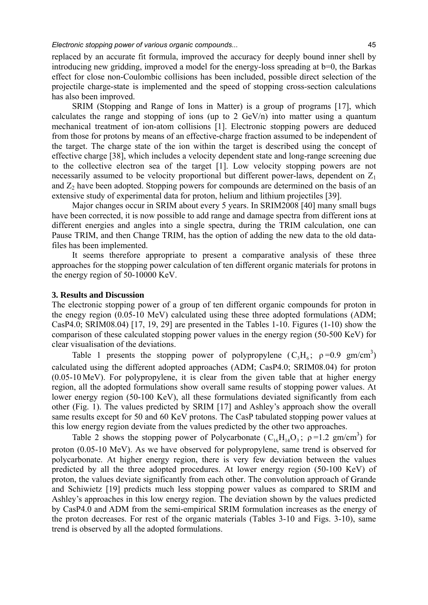replaced by an accurate fit formula, improved the accuracy for deeply bound inner shell by introducing new gridding, improved a model for the energy-loss spreading at b=0, the Barkas effect for close non-Coulombic collisions has been included, possible direct selection of the projectile charge-state is implemented and the speed of stopping cross-section calculations has also been improved.

SRIM (Stopping and Range of Ions in Matter) is a group of programs [17], which calculates the range and stopping of ions (up to 2  $GeV/n$ ) into matter using a quantum mechanical treatment of ion-atom collisions [1]. Electronic stopping powers are deduced from those for protons by means of an effective-charge fraction assumed to be independent of the target. The charge state of the ion within the target is described using the concept of effective charge [38], which includes a velocity dependent state and long-range screening due to the collective electron sea of the target [1]. Low velocity stopping powers are not necessarily assumed to be velocity proportional but different power-laws, dependent on  $Z_1$ and  $Z_2$  have been adopted. Stopping powers for compounds are determined on the basis of an extensive study of experimental data for proton, helium and lithium projectiles [39].

Major changes occur in SRIM about every 5 years. In SRIM2008 [40] many small bugs have been corrected, it is now possible to add range and damage spectra from different ions at different energies and angles into a single spectra, during the TRIM calculation, one can Pause TRIM, and then Change TRIM, has the option of adding the new data to the old datafiles has been implemented.

It seems therefore appropriate to present a comparative analysis of these three approaches for the stopping power calculation of ten different organic materials for protons in the energy region of 50-10000 KeV.

## **3. Results and Discussion**

The electronic stopping power of a group of ten different organic compounds for proton in the enegy region (0.05-10 MeV) calculated using these three adopted formulations (ADM; CasP4.0; SRIM08.04) [17, 19, 29] are presented in the Tables 1-10. Figures (1-10) show the comparison of these calculated stopping power values in the energy region (50-500 KeV) for clear visualisation of the deviations.

Table 1 presents the stopping power of polypropylene  $(C_3H_6; \rho=0.9 \text{ gm/cm}^3)$ calculated using the different adopted approaches (ADM; CasP4.0; SRIM08.04) for proton (0.05-10 MeV). For polypropylene, it is clear from the given table that at higher energy region, all the adopted formulations show overall same results of stopping power values. At lower energy region (50-100 KeV), all these formulations deviated significantly from each other (Fig. 1). The values predicted by SRIM [17] and Ashley's approach show the overall same results except for 50 and 60 KeV protons. The CasP tabulated stopping power values at this low energy region deviate from the values predicted by the other two approaches.

Table 2 shows the stopping power of Polycarbonate  $(C_{16}H_{14}O_3; \rho=1.2 \text{ gm/cm}^3)$  for proton (0.05-10 MeV). As we have observed for polypropylene, same trend is observed for polycarbonate. At higher energy region, there is very few deviation between the values predicted by all the three adopted procedures. At lower energy region (50-100 KeV) of proton, the values deviate significantly from each other. The convolution approach of Grande and Schiwietz [19] predicts much less stopping power values as compared to SRIM and Ashley's approaches in this low energy region. The deviation shown by the values predicted by CasP4.0 and ADM from the semi-empirical SRIM formulation increases as the energy of the proton decreases. For rest of the organic materials (Tables 3-10 and Figs. 3-10), same trend is observed by all the adopted formulations.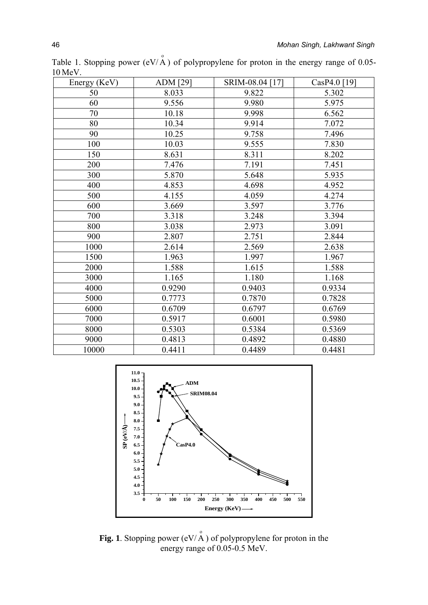| Energy (KeV) | ADM [29] | SRIM-08.04 [17] | CasP4.0 [19] |
|--------------|----------|-----------------|--------------|
| 50           | 8.033    | 9.822           | 5.302        |
| 60           | 9.556    | 9.980           | 5.975        |
| 70           | 10.18    | 9.998           | 6.562        |
| 80           | 10.34    | 9.914           | 7.072        |
| 90           | 10.25    | 9.758           | 7.496        |
| 100          | 10.03    | 9.555           | 7.830        |
| 150          | 8.631    | 8.311           | 8.202        |
| 200          | 7.476    | 7.191           | 7.451        |
| 300          | 5.870    | 5.648           | 5.935        |
| 400          | 4.853    | 4.698           | 4.952        |
| 500          | 4.155    | 4.059           | 4.274        |
| 600          | 3.669    | 3.597           | 3.776        |
| 700          | 3.318    | 3.248           | 3.394        |
| 800          | 3.038    | 2.973           | 3.091        |
| 900          | 2.807    | 2.751           | 2.844        |
| 1000         | 2.614    | 2.569           | 2.638        |
| 1500         | 1.963    | 1.997           | 1.967        |
| 2000         | 1.588    | 1.615           | 1.588        |
| 3000         | 1.165    | 1.180           | 1.168        |
| 4000         | 0.9290   | 0.9403          | 0.9334       |
| 5000         | 0.7773   | 0.7870          | 0.7828       |
| 6000         | 0.6709   | 0.6797          | 0.6769       |
| 7000         | 0.5917   | 0.6001          | 0.5980       |
| 8000         | 0.5303   | 0.5384          | 0.5369       |
| 9000         | 0.4813   | 0.4892          | 0.4880       |
| 10000        | 0.4411   | 0.4489          | 0.4481       |

Table 1. Stopping power (eV/ $\stackrel{\circ}{A}$ ) of polypropylene for proton in the energy range of 0.05-10 MeV.



**Fig. 1**. Stopping power (eV/ $\stackrel{\circ}{A}$ ) of polypropylene for proton in the energy range of 0.05-0.5 MeV.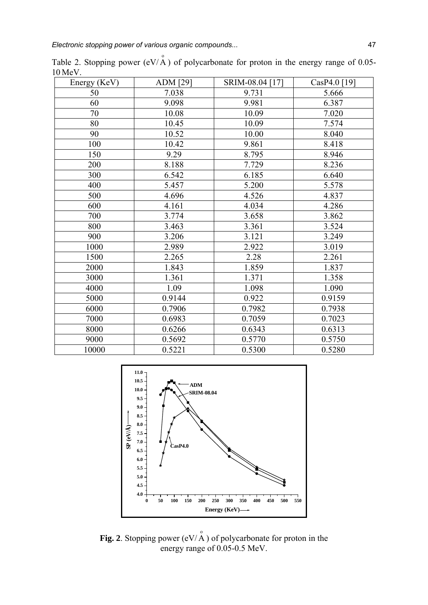| Energy (KeV) | <b>ADM</b> [29] | SRIM-08.04 [17] | $CasP4.0$ [19] |
|--------------|-----------------|-----------------|----------------|
| 50           | 7.038           | 9.731           | 5.666          |
| 60           | 9.098           | 9.981           | 6.387          |
| 70           | 10.08           | 10.09           | 7.020          |
| 80           | 10.45           | 10.09           | 7.574          |
| 90           | 10.52           | 10.00           | 8.040          |
| 100          | 10.42           | 9.861           | 8.418          |
| 150          | 9.29            | 8.795           | 8.946          |
| 200          | 8.188           | 7.729           | 8.236          |
| 300          | 6.542           | 6.185           | 6.640          |
| 400          | 5.457           | 5.200           | 5.578          |
| 500          | 4.696           | 4.526           | 4.837          |
| 600          | 4.161           | 4.034           | 4.286          |
| 700          | 3.774           | 3.658           | 3.862          |
| 800          | 3.463           | 3.361           | 3.524          |
| 900          | 3.206           | 3.121           | 3.249          |
| 1000         | 2.989           | 2.922           | 3.019          |
| 1500         | 2.265           | 2.28            | 2.261          |
| 2000         | 1.843           | 1.859           | 1.837          |
| 3000         | 1.361           | 1.371           | 1.358          |
| 4000         | 1.09            | 1.098           | 1.090          |
| 5000         | 0.9144          | 0.922           | 0.9159         |
| 6000         | 0.7906          | 0.7982          | 0.7938         |
| 7000         | 0.6983          | 0.7059          | 0.7023         |
| 8000         | 0.6266          | 0.6343          | 0.6313         |
| 9000         | 0.5692          | 0.5770          | 0.5750         |
| 10000        | 0.5221          | 0.5300          | 0.5280         |

Table 2. Stopping power (eV/ $\stackrel{\circ}{A}$ ) of polycarbonate for proton in the energy range of 0.05-10 MeV.



**Fig. 2**. Stopping power  $(eV/\overset{\circ}{A})$  of polycarbonate for proton in the energy range of 0.05-0.5 MeV.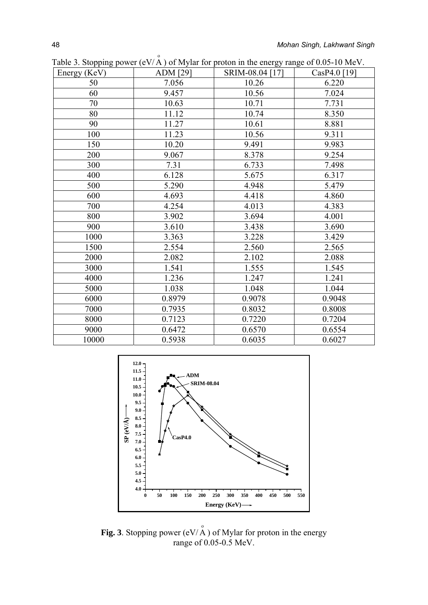| Energy (KeV) | ADM [29] | SRIM-08.04 [17] | $CasP4.0$ [19] |
|--------------|----------|-----------------|----------------|
| 50           | 7.056    | 10.26           | 6.220          |
| 60           | 9.457    | 10.56           | 7.024          |
| 70           | 10.63    | 10.71           | 7.731          |
| 80           | 11.12    | 10.74           | 8.350          |
| 90           | 11.27    | 10.61           | 8.881          |
| 100          | 11.23    | 10.56           | 9.311          |
| 150          | 10.20    | 9.491           | 9.983          |
| 200          | 9.067    | 8.378           | 9.254          |
| 300          | 7.31     | 6.733           | 7.498          |
| 400          | 6.128    | 5.675           | 6.317          |
| 500          | 5.290    | 4.948           | 5.479          |
| 600          | 4.693    | 4.418           | 4.860          |
| 700          | 4.254    | 4.013           | 4.383          |
| 800          | 3.902    | 3.694           | 4.001          |
| 900          | 3.610    | 3.438           | 3.690          |
| 1000         | 3.363    | 3.228           | 3.429          |
| 1500         | 2.554    | 2.560           | 2.565          |
| 2000         | 2.082    | 2.102           | 2.088          |
| 3000         | 1.541    | 1.555           | 1.545          |
| 4000         | 1.236    | 1.247           | 1.241          |
| 5000         | 1.038    | 1.048           | 1.044          |
| 6000         | 0.8979   | 0.9078          | 0.9048         |
| 7000         | 0.7935   | 0.8032          | 0.8008         |
| 8000         | 0.7123   | 0.7220          | 0.7204         |
| 9000         | 0.6472   | 0.6570          | 0.6554         |
| 10000        | 0.5938   | 0.6035          | 0.6027         |

Table 3. Stopping power (eV/ $\stackrel{\circ}{A}$ ) of Mylar for proton in the energy range of 0.05-10 MeV.



**Fig. 3**. Stopping power  $(eV/\overset{\circ}{A})$  of Mylar for proton in the energy range of 0.05-0.5 MeV.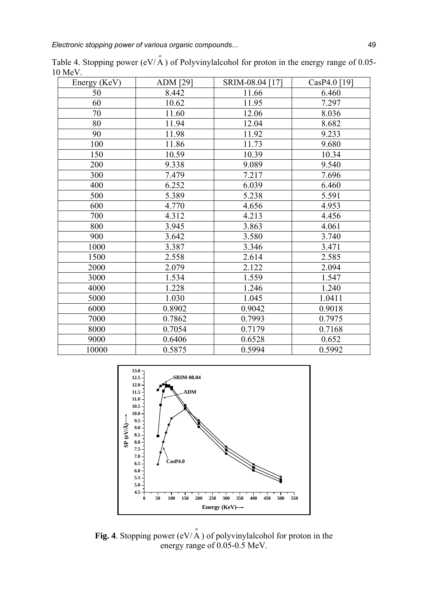| Energy (KeV) | <b>ADM</b> [29] | SRIM-08.04 [17] | CasP4.0 [19] |
|--------------|-----------------|-----------------|--------------|
| 50           | 8.442           | 11.66           | 6.460        |
| 60           | 10.62           | 11.95           | 7.297        |
| 70           | 11.60           | 12.06           | 8.036        |
| 80           | 11.94           | 12.04           | 8.682        |
| 90           | 11.98           | 11.92           | 9.233        |
| 100          | 11.86           | 11.73           | 9.680        |
| 150          | 10.59           | 10.39           | 10.34        |
| 200          | 9.338           | 9.089           | 9.540        |
| 300          | 7.479           | 7.217           | 7.696        |
| 400          | 6.252           | 6.039           | 6.460        |
| 500          | 5.389           | 5.238           | 5.591        |
| 600          | 4.770           | 4.656           | 4.953        |
| 700          | 4.312           | 4.213           | 4.456        |
| 800          | 3.945           | 3.863           | 4.061        |
| 900          | 3.642           | 3.580           | 3.740        |
| 1000         | 3.387           | 3.346           | 3.471        |
| 1500         | 2.558           | 2.614           | 2.585        |
| 2000         | 2.079           | 2.122           | 2.094        |
| 3000         | 1.534           | 1.559           | 1.547        |
| 4000         | 1.228           | 1.246           | 1.240        |
| 5000         | 1.030           | 1.045           | 1.0411       |
| 6000         | 0.8902          | 0.9042          | 0.9018       |
| 7000         | 0.7862          | 0.7993          | 0.7975       |
| 8000         | 0.7054          | 0.7179          | 0.7168       |
| 9000         | 0.6406          | 0.6528          | 0.652        |
| 10000        | 0.5875          | 0.5994          | 0.5992       |

Table 4. Stopping power (eV/ $\stackrel{\circ}{A}$ ) of Polyvinylalcohol for proton in the energy range of 0.05-10 MeV.



**Fig. 4**. Stopping power (eV/ $\stackrel{\circ}{A}$ ) of polyvinylalcohol for proton in the energy range of 0.05-0.5 MeV.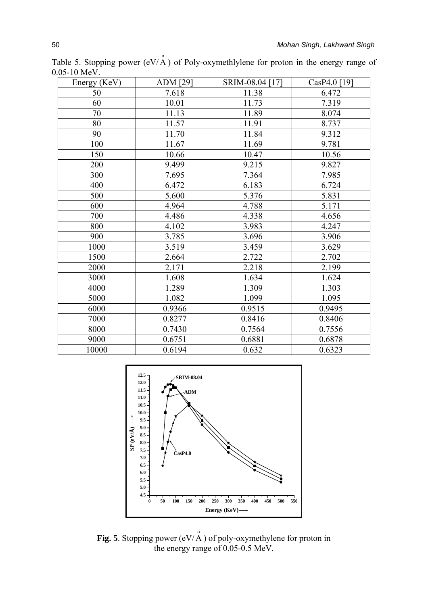| Energy (KeV) | <b>ADM</b> [29] | SRIM-08.04 [17] | CasP4.0 [19] |
|--------------|-----------------|-----------------|--------------|
| 50           | 7.618           | 11.38           | 6.472        |
| 60           | 10.01           | 11.73           | 7.319        |
| 70           | 11.13           | 11.89           | 8.074        |
| 80           | 11.57           | 11.91           | 8.737        |
| 90           | 11.70           | 11.84           | 9.312        |
| 100          | 11.67           | 11.69           | 9.781        |
| 150          | 10.66           | 10.47           | 10.56        |
| 200          | 9.499           | 9.215           | 9.827        |
| 300          | 7.695           | 7.364           | 7.985        |
| 400          | 6.472           | 6.183           | 6.724        |
| 500          | 5.600           | 5.376           | 5.831        |
| 600          | 4.964           | 4.788           | 5.171        |
| 700          | 4.486           | 4.338           | 4.656        |
| 800          | 4.102           | 3.983           | 4.247        |
| 900          | 3.785           | 3.696           | 3.906        |
| 1000         | 3.519           | 3.459           | 3.629        |
| 1500         | 2.664           | 2.722           | 2.702        |
| 2000         | 2.171           | 2.218           | 2.199        |
| 3000         | 1.608           | 1.634           | 1.624        |
| 4000         | 1.289           | 1.309           | 1.303        |
| 5000         | 1.082           | 1.099           | 1.095        |
| 6000         | 0.9366          | 0.9515          | 0.9495       |
| 7000         | 0.8277          | 0.8416          | 0.8406       |
| 8000         | 0.7430          | 0.7564          | 0.7556       |
| 9000         | 0.6751          | 0.6881          | 0.6878       |
| 10000        | 0.6194          | 0.632           | 0.6323       |

Table 5. Stopping power  $(eV/A)$  of Poly-oxymethlylene for proton in the energy range of 0.05-10 MeV.



**Fig. 5**. Stopping power  $(eV/\overset{\circ}{A})$  of poly-oxymethylene for proton in the energy range of 0.05-0.5 MeV.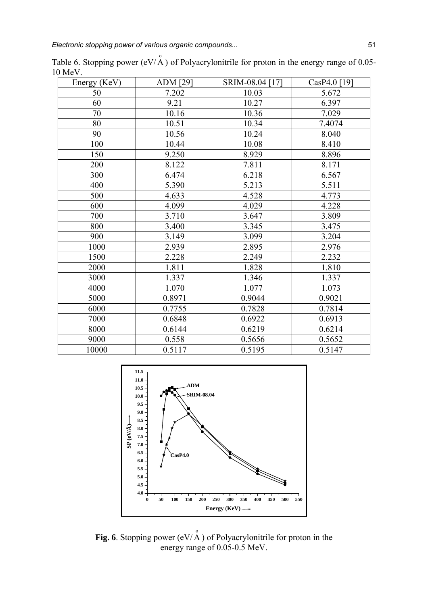| Energy (KeV) | ADM [29] | SRIM-08.04 [17] | $CasP4.0$ [19] |
|--------------|----------|-----------------|----------------|
| 50           | 7.202    | 10.03           | 5.672          |
| 60           | 9.21     | 10.27           | 6.397          |
| 70           | 10.16    | 10.36           | 7.029          |
| 80           | 10.51    | 10.34           | 7.4074         |
| 90           | 10.56    | 10.24           | 8.040          |
| 100          | 10.44    | 10.08           | 8.410          |
| 150          | 9.250    | 8.929           | 8.896          |
| 200          | 8.122    | 7.811           | 8.171          |
| 300          | 6.474    | 6.218           | 6.567          |
| 400          | 5.390    | 5.213           | 5.511          |
| 500          | 4.633    | 4.528           | 4.773          |
| 600          | 4.099    | 4.029           | 4.228          |
| 700          | 3.710    | 3.647           | 3.809          |
| 800          | 3.400    | 3.345           | 3.475          |
| 900          | 3.149    | 3.099           | 3.204          |
| 1000         | 2.939    | 2.895           | 2.976          |
| 1500         | 2.228    | 2.249           | 2.232          |
| 2000         | 1.811    | 1.828           | 1.810          |
| 3000         | 1.337    | 1.346           | 1.337          |
| 4000         | 1.070    | 1.077           | 1.073          |
| 5000         | 0.8971   | 0.9044          | 0.9021         |
| 6000         | 0.7755   | 0.7828          | 0.7814         |
| 7000         | 0.6848   | 0.6922          | 0.6913         |
| 8000         | 0.6144   | 0.6219          | 0.6214         |
| 9000         | 0.558    | 0.5656          | 0.5652         |
| 10000        | 0.5117   | 0.5195          | 0.5147         |

Table 6. Stopping power (eV/ $\stackrel{\circ}{A}$ ) of Polyacrylonitrile for proton in the energy range of 0.05-10 MeV.



**Fig. 6**. Stopping power (eV/ $\stackrel{\circ}{A}$ ) of Polyacrylonitrile for proton in the energy range of 0.05-0.5 MeV.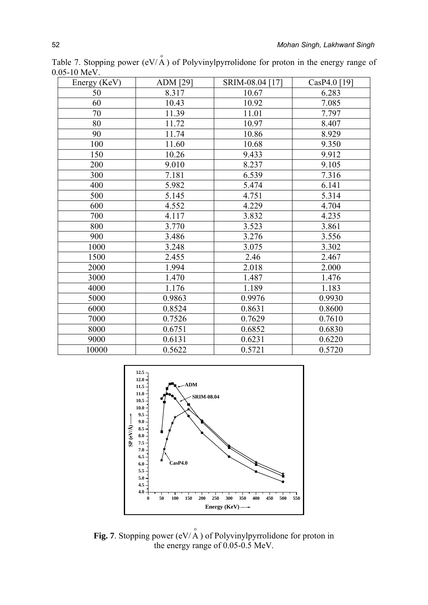| Energy (KeV) | ADM [29] | SRIM-08.04 [17] | CasP4.0 [19] |
|--------------|----------|-----------------|--------------|
| 50           | 8.317    | 10.67           | 6.283        |
| 60           | 10.43    | 10.92           | 7.085        |
| 70           | 11.39    | 11.01           | 7.797        |
| 80           | 11.72    | 10.97           | 8.407        |
| 90           | 11.74    | 10.86           | 8.929        |
| 100          | 11.60    | 10.68           | 9.350        |
| 150          | 10.26    | 9.433           | 9.912        |
| 200          | 9.010    | 8.237           | 9.105        |
| 300          | 7.181    | 6.539           | 7.316        |
| 400          | 5.982    | 5.474           | 6.141        |
| 500          | 5.145    | 4.751           | 5.314        |
| 600          | 4.552    | 4.229           | 4.704        |
| 700          | 4.117    | 3.832           | 4.235        |
| 800          | 3.770    | 3.523           | 3.861        |
| 900          | 3.486    | 3.276           | 3.556        |
| 1000         | 3.248    | 3.075           | 3.302        |
| 1500         | 2.455    | 2.46            | 2.467        |
| 2000         | 1.994    | 2.018           | 2.000        |
| 3000         | 1.470    | 1.487           | 1.476        |
| 4000         | 1.176    | 1.189           | 1.183        |
| 5000         | 0.9863   | 0.9976          | 0.9930       |
| 6000         | 0.8524   | 0.8631          | 0.8600       |
| 7000         | 0.7526   | 0.7629          | 0.7610       |
| 8000         | 0.6751   | 0.6852          | 0.6830       |
| 9000         | 0.6131   | 0.6231          | 0.6220       |
| 10000        | 0.5622   | 0.5721          | 0.5720       |

Table 7. Stopping power  $(eV/\overset{\circ}{A})$  of Polyvinylpyrrolidone for proton in the energy range of 0.05-10 MeV.



**Fig. 7**. Stopping power  $(eV/\overset{\circ}{A})$  of Polyvinylpyrrolidone for proton in the energy range of 0.05-0.5 MeV.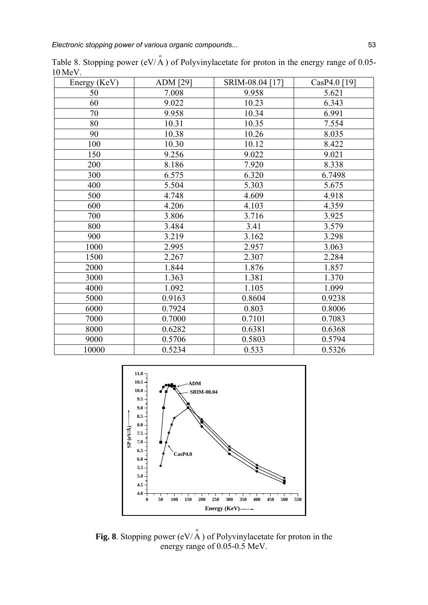| Energy (KeV) | <b>ADM</b> [29] | SRIM-08.04 [17] | $CasP4.0$ [19] |
|--------------|-----------------|-----------------|----------------|
| 50           | 7.008           | 9.958           | 5.621          |
| 60           | 9.022           | 10.23           | 6.343          |
| 70           | 9.958           | 10.34           | 6.991          |
| 80           | 10.31           | 10.35           | 7.554          |
| 90           | 10.38           | 10.26           | 8.035          |
| 100          | 10.30           | 10.12           | 8.422          |
| 150          | 9.256           | 9.022           | 9.021          |
| 200          | 8.186           | 7.920           | 8.338          |
| 300          | 6.575           | 6.320           | 6.7498         |
| 400          | 5.504           | 5.303           | 5.675          |
| 500          | 4.748           | 4.609           | 4.918          |
| 600          | 4.206           | 4.103           | 4.359          |
| 700          | 3.806           | 3.716           | 3.925          |
| 800          | 3.484           | 3.41            | 3.579          |
| 900          | 3.219           | 3.162           | 3.298          |
| 1000         | 2.995           | 2.957           | 3.063          |
| 1500         | 2.267           | 2.307           | 2.284          |
| 2000         | 1.844           | 1.876           | 1.857          |
| 3000         | 1.363           | 1.381           | 1.370          |
| 4000         | 1.092           | 1.105           | 1.099          |
| 5000         | 0.9163          | 0.8604          | 0.9238         |
| 6000         | 0.7924          | 0.803           | 0.8006         |
| 7000         | 0.7000          | 0.7101          | 0.7083         |
| 8000         | 0.6282          | 0.6381          | 0.6368         |
| 9000         | 0.5706          | 0.5803          | 0.5794         |
| 10000        | 0.5234          | 0.533           | 0.5326         |

Table 8. Stopping power (eV/ $\stackrel{\circ}{A}$ ) of Polyvinylacetate for proton in the energy range of 0.05-10 MeV.



**Fig. 8**. Stopping power (eV/ $\overrightarrow{A}$ ) of Polyvinylacetate for proton in the energy range of 0.05-0.5 MeV.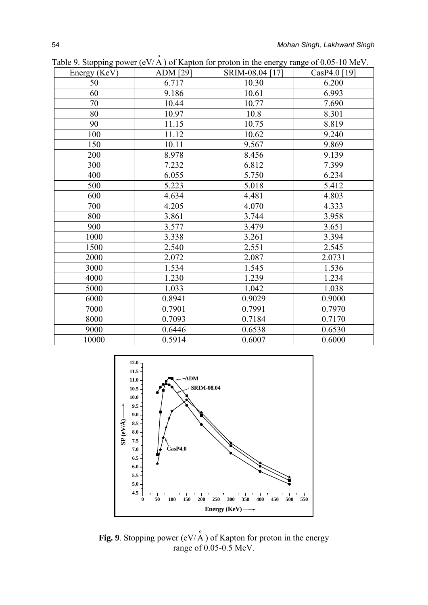| Energy (KeV) | ADM [29] | SRIM-08.04 [17] | CasP4.0 [19] |
|--------------|----------|-----------------|--------------|
| 50           | 6.717    | 10.30           | 6.200        |
| 60           | 9.186    | 10.61           | 6.993        |
| 70           | 10.44    | 10.77           | 7.690        |
| 80           | 10.97    | 10.8            | 8.301        |
| 90           | 11.15    | 10.75           | 8.819        |
| 100          | 11.12    | 10.62           | 9.240        |
| 150          | 10.11    | 9.567           | 9.869        |
| 200          | 8.978    | 8.456           | 9.139        |
| 300          | 7.232    | 6.812           | 7.399        |
| 400          | 6.055    | 5.750           | 6.234        |
| 500          | 5.223    | 5.018           | 5.412        |
| 600          | 4.634    | 4.481           | 4.803        |
| 700          | 4.205    | 4.070           | 4.333        |
| 800          | 3.861    | 3.744           | 3.958        |
| 900          | 3.577    | 3.479           | 3.651        |
| 1000         | 3.338    | 3.261           | 3.394        |
| 1500         | 2.540    | 2.551           | 2.545        |
| 2000         | 2.072    | 2.087           | 2.0731       |
| 3000         | 1.534    | 1.545           | 1.536        |
| 4000         | 1.230    | 1.239           | 1.234        |
| 5000         | 1.033    | 1.042           | 1.038        |
| 6000         | 0.8941   | 0.9029          | 0.9000       |
| 7000         | 0.7901   | 0.7991          | 0.7970       |
| 8000         | 0.7093   | 0.7184          | 0.7170       |
| 9000         | 0.6446   | 0.6538          | 0.6530       |
| 10000        | 0.5914   | 0.6007          | 0.6000       |

Table 9. Stopping power (eV/ $\stackrel{\circ}{A}$ ) of Kapton for proton in the energy range of 0.05-10 MeV.



**Fig. 9**. Stopping power  $(eV \mid A)$  of Kapton for proton in the energy range of 0.05-0.5 MeV.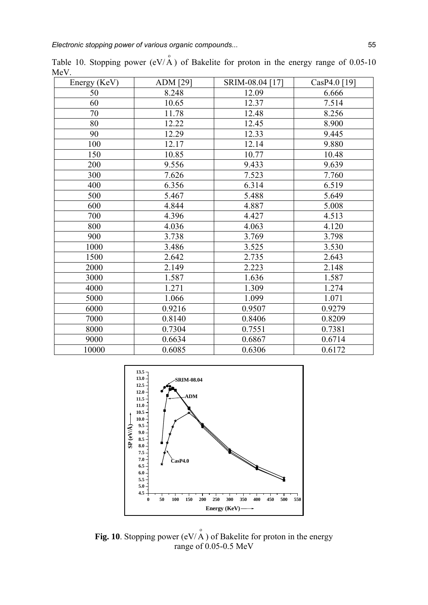| Energy (KeV) | ADM [29] | SRIM-08.04 [17] | CasP4.0 [19] |
|--------------|----------|-----------------|--------------|
| 50           | 8.248    | 12.09           | 6.666        |
| 60           | 10.65    | 12.37           | 7.514        |
| 70           | 11.78    | 12.48           | 8.256        |
| 80           | 12.22    | 12.45           | 8.900        |
| 90           | 12.29    | 12.33           | 9.445        |
| 100          | 12.17    | 12.14           | 9.880        |
| 150          | 10.85    | 10.77           | 10.48        |
| 200          | 9.556    | 9.433           | 9.639        |
| 300          | 7.626    | 7.523           | 7.760        |
| 400          | 6.356    | 6.314           | 6.519        |
| 500          | 5.467    | 5.488           | 5.649        |
| 600          | 4.844    | 4.887           | 5.008        |
| 700          | 4.396    | 4.427           | 4.513        |
| 800          | 4.036    | 4.063           | 4.120        |
| 900          | 3.738    | 3.769           | 3.798        |
| 1000         | 3.486    | 3.525           | 3.530        |
| 1500         | 2.642    | 2.735           | 2.643        |
| 2000         | 2.149    | 2.223           | 2.148        |
| 3000         | 1.587    | 1.636           | 1.587        |
| 4000         | 1.271    | 1.309           | 1.274        |
| 5000         | 1.066    | 1.099           | 1.071        |
| 6000         | 0.9216   | 0.9507          | 0.9279       |
| 7000         | 0.8140   | 0.8406          | 0.8209       |
| 8000         | 0.7304   | 0.7551          | 0.7381       |
| 9000         | 0.6634   | 0.6867          | 0.6714       |
| 10000        | 0.6085   | 0.6306          | 0.6172       |

Table 10. Stopping power  $(eV/A)$  of Bakelite for proton in the energy range of 0.05-10 MeV.



**Fig. 10**. Stopping power (eV/ $\stackrel{\circ}{A}$ ) of Bakelite for proton in the energy range of  $0.05$ -0.5 MeV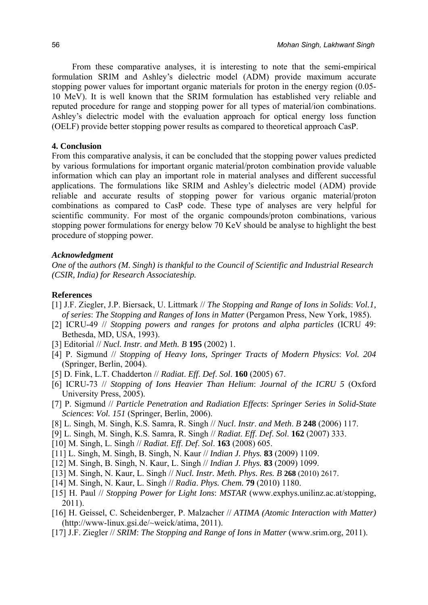From these comparative analyses, it is interesting to note that the semi-empirical formulation SRIM and Ashley's dielectric model (ADM) provide maximum accurate stopping power values for important organic materials for proton in the energy region (0.05- 10 MeV). It is well known that the SRIM formulation has established very reliable and reputed procedure for range and stopping power for all types of material/ion combinations. Ashley's dielectric model with the evaluation approach for optical energy loss function (OELF) provide better stopping power results as compared to theoretical approach CasP.

#### **4. Conclusion**

From this comparative analysis, it can be concluded that the stopping power values predicted by various formulations for important organic material/proton combination provide valuable information which can play an important role in material analyses and different successful applications. The formulations like SRIM and Ashley's dielectric model (ADM) provide reliable and accurate results of stopping power for various organic material/proton combinations as compared to CasP code. These type of analyses are very helpful for scientific community. For most of the organic compounds/proton combinations, various stopping power formulations for energy below 70 KeV should be analyse to highlight the best procedure of stopping power.

#### *Acknowledgment*

*One of* the *authors (M. Singh) is thankful to the Council of Scientific and Industrial Research (CSIR, India) for Research Associateship.* 

## **References**

- [1] J.F. Ziegler, J.P. Biersack, U. Littmark // *The Stopping and Range of Ions in Solids*: *Vol.1, of series*: *The Stopping and Ranges of Ions in Matter* (Pergamon Press, New York, 1985).
- [2] ICRU-49 // *Stopping powers and ranges for protons and alpha particles* (ICRU 49: Bethesda, MD, USA, 1993).
- [3] Editorial // *Nucl. Instr. and Meth. B* **195** (2002) 1.
- [4] P. Sigmund // *Stopping of Heavy Ions, Springer Tracts of Modern Physics*: *Vol. 204*  (Springer, Berlin, 2004).
- [5] D. Fink, L.T. Chadderton // *Radiat*. *Eff*. *Def*. *Sol*. **160** (2005) 67.
- [6] ICRU-73 // *Stopping of Ions Heavier Than Helium*: *Journal of the ICRU 5* (Oxford University Press, 2005).
- [7] P. Sigmund // *Particle Penetration and Radiation Effects*: *Springer Series in Solid-State Sciences*: *Vol. 151* (Springer, Berlin, 2006).
- [8] L. Singh, M. Singh, K.S. Samra, R. Singh // *Nucl*. *Instr*. *and Meth*. *B* **248** (2006) 117.
- [9] L. Singh, M. Singh, K.S. Samra, R. Singh // *Radiat*. *Eff*. *Def*. *Sol*. **162** (2007) 333.
- [10] M. Singh, L. Singh // *Radiat*. *Eff*. *Def*. *Sol*. **163** (2008) 605.
- [11] L. Singh, M. Singh, B. Singh, N. Kaur // *Indian J. Phys.* **83** (2009) 1109.
- [12] M. Singh, B. Singh, N. Kaur, L. Singh // *Indian J. Phys.* **83** (2009) 1099.
- [13] M. Singh, N. Kaur, L. Singh // *Nucl. Instr. Meth. Phys. Res. B* **268** (2010) 2617.
- [14] M. Singh, N. Kaur, L. Singh // *Radia*. *Phys. Chem.* **79** (2010) 1180.
- [15] H. Paul // *Stopping Power for Light Ions*: *MSTAR* (www.exphys.unilinz.ac.at/stopping, 2011).
- [16] H. Geissel, C. Scheidenberger, P. Malzacher // *ATIMA (Atomic Interaction with Matter)*  (http://www-linux.gsi.de/~weick/atima, 2011).
- [17] J.F. Ziegler // *SRIM*: *The Stopping and Range of Ions in Matter* (www.srim.org, 2011).